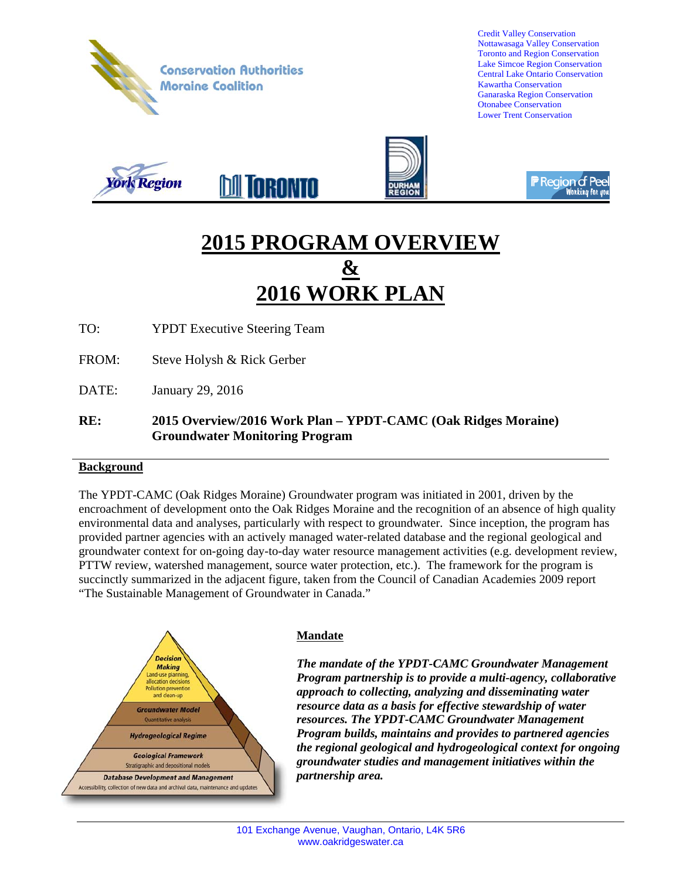

 Credit Valley Conservation Nottawasaga Valley Conservation Toronto and Region Conservation Lake Simcoe Region Conservation Central Lake Ontario Conservation Kawartha Conservation Ganaraska Region Conservation Otonabee Conservation Lower Trent Conservation





**P** Region of Pee

# **2015 PROGRAM OVERVIEW & 2016 WORK PLAN**

INRNNTN

TO: YPDT Executive Steering Team

FROM: Steve Holysh & Rick Gerber

DATE: January 29, 2016

#### **RE: 2015 Overview/2016 Work Plan – YPDT-CAMC (Oak Ridges Moraine) Groundwater Monitoring Program**

#### **Background**

The YPDT-CAMC (Oak Ridges Moraine) Groundwater program was initiated in 2001, driven by the encroachment of development onto the Oak Ridges Moraine and the recognition of an absence of high quality environmental data and analyses, particularly with respect to groundwater. Since inception, the program has provided partner agencies with an actively managed water-related database and the regional geological and groundwater context for on-going day-to-day water resource management activities (e.g. development review, PTTW review, watershed management, source water protection, etc.). The framework for the program is succinctly summarized in the adjacent figure, taken from the Council of Canadian Academies 2009 report "The Sustainable Management of Groundwater in Canada."



#### **Mandate**

*The mandate of the YPDT-CAMC Groundwater Management Program partnership is to provide a multi-agency, collaborative approach to collecting, analyzing and disseminating water resource data as a basis for effective stewardship of water resources. The YPDT-CAMC Groundwater Management Program builds, maintains and provides to partnered agencies the regional geological and hydrogeological context for ongoing groundwater studies and management initiatives within the partnership area.*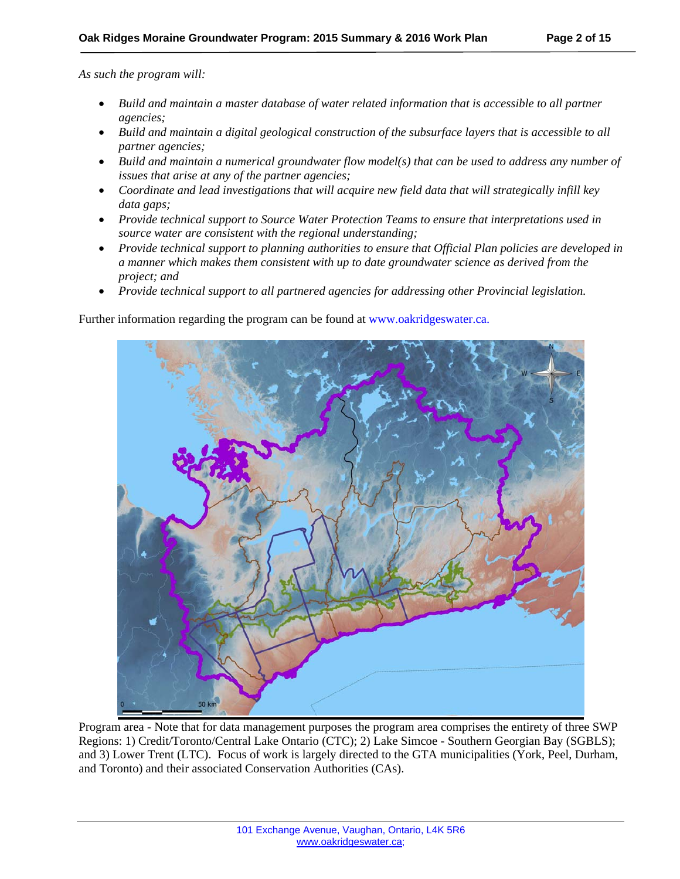*As such the program will:* 

- *Build and maintain a master database of water related information that is accessible to all partner agencies;*
- *Build and maintain a digital geological construction of the subsurface layers that is accessible to all partner agencies;*
- *Build and maintain a numerical groundwater flow model(s) that can be used to address any number of issues that arise at any of the partner agencies;*
- *Coordinate and lead investigations that will acquire new field data that will strategically infill key data gaps;*
- *Provide technical support to Source Water Protection Teams to ensure that interpretations used in source water are consistent with the regional understanding;*
- *Provide technical support to planning authorities to ensure that Official Plan policies are developed in a manner which makes them consistent with up to date groundwater science as derived from the project; and*
- *Provide technical support to all partnered agencies for addressing other Provincial legislation.*

Further information regarding the program can be found at www.oakridgeswater.ca.



Program area - Note that for data management purposes the program area comprises the entirety of three SWP Regions: 1) Credit/Toronto/Central Lake Ontario (CTC); 2) Lake Simcoe - Southern Georgian Bay (SGBLS); and 3) Lower Trent (LTC). Focus of work is largely directed to the GTA municipalities (York, Peel, Durham, and Toronto) and their associated Conservation Authorities (CAs).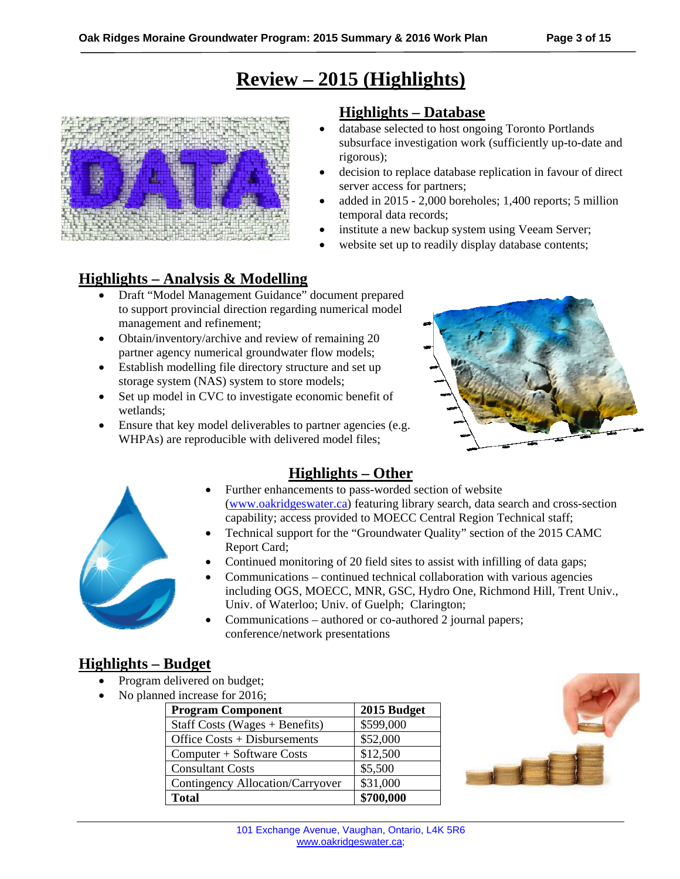# **Review – 2015 (Highlights)**



### **Highlights – Database**

- database selected to host ongoing Toronto Portlands subsurface investigation work (sufficiently up-to-date and rigorous);
- decision to replace database replication in favour of direct server access for partners;
- added in 2015 2,000 boreholes; 1,400 reports; 5 million temporal data records;
- institute a new backup system using Veeam Server;
- website set up to readily display database contents;

## **Highlights – Analysis & Modelling**

- Draft "Model Management Guidance" document prepared to support provincial direction regarding numerical model management and refinement;
- Obtain/inventory/archive and review of remaining 20 partner agency numerical groundwater flow models;
- Establish modelling file directory structure and set up storage system (NAS) system to store models;
- Set up model in CVC to investigate economic benefit of wetlands;
- Ensure that key model deliverables to partner agencies (e.g. WHPAs) are reproducible with delivered model files;





## **Highlights – Other**

- Further enhancements to pass-worded section of website (www.oakridgeswater.ca) featuring library search, data search and cross-section capability; access provided to MOECC Central Region Technical staff;
- Technical support for the "Groundwater Quality" section of the 2015 CAMC Report Card;
- Continued monitoring of 20 field sites to assist with infilling of data gaps;
- Communications continued technical collaboration with various agencies including OGS, MOECC, MNR, GSC, Hydro One, Richmond Hill, Trent Univ., Univ. of Waterloo; Univ. of Guelph; Clarington;
- Communications authored or co-authored 2 journal papers; conference/network presentations

## **Highlights – Budget**

- Program delivered on budget;
- No planned increase for 2016;

| <b>Program Component</b>         | 2015 Budget |
|----------------------------------|-------------|
| Staff Costs (Wages $+$ Benefits) | \$599,000   |
| Office Costs + Disbursements     | \$52,000    |
| Computer + Software Costs        | \$12,500    |
| <b>Consultant Costs</b>          | \$5,500     |
| Contingency Allocation/Carryover | \$31,000    |
| <b>Total</b>                     | \$700,000   |

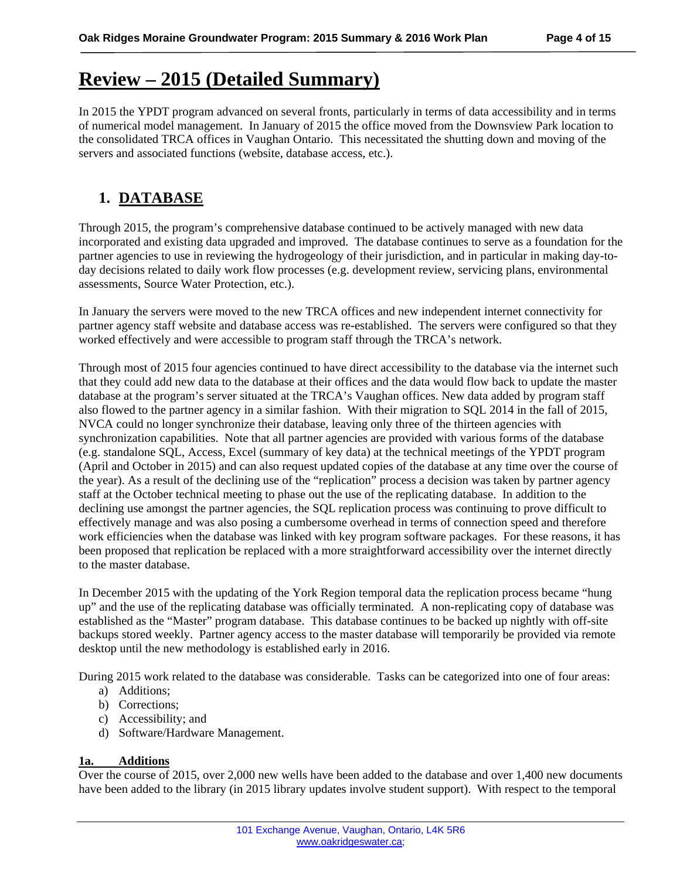## **Review – 2015 (Detailed Summary)**

In 2015 the YPDT program advanced on several fronts, particularly in terms of data accessibility and in terms of numerical model management. In January of 2015 the office moved from the Downsview Park location to the consolidated TRCA offices in Vaughan Ontario. This necessitated the shutting down and moving of the servers and associated functions (website, database access, etc.).

## **1. DATABASE**

Through 2015, the program's comprehensive database continued to be actively managed with new data incorporated and existing data upgraded and improved. The database continues to serve as a foundation for the partner agencies to use in reviewing the hydrogeology of their jurisdiction, and in particular in making day-today decisions related to daily work flow processes (e.g. development review, servicing plans, environmental assessments, Source Water Protection, etc.).

In January the servers were moved to the new TRCA offices and new independent internet connectivity for partner agency staff website and database access was re-established. The servers were configured so that they worked effectively and were accessible to program staff through the TRCA's network.

Through most of 2015 four agencies continued to have direct accessibility to the database via the internet such that they could add new data to the database at their offices and the data would flow back to update the master database at the program's server situated at the TRCA's Vaughan offices. New data added by program staff also flowed to the partner agency in a similar fashion. With their migration to SQL 2014 in the fall of 2015, NVCA could no longer synchronize their database, leaving only three of the thirteen agencies with synchronization capabilities. Note that all partner agencies are provided with various forms of the database (e.g. standalone SQL, Access, Excel (summary of key data) at the technical meetings of the YPDT program (April and October in 2015) and can also request updated copies of the database at any time over the course of the year). As a result of the declining use of the "replication" process a decision was taken by partner agency staff at the October technical meeting to phase out the use of the replicating database. In addition to the declining use amongst the partner agencies, the SQL replication process was continuing to prove difficult to effectively manage and was also posing a cumbersome overhead in terms of connection speed and therefore work efficiencies when the database was linked with key program software packages. For these reasons, it has been proposed that replication be replaced with a more straightforward accessibility over the internet directly to the master database.

In December 2015 with the updating of the York Region temporal data the replication process became "hung up" and the use of the replicating database was officially terminated. A non-replicating copy of database was established as the "Master" program database. This database continues to be backed up nightly with off-site backups stored weekly. Partner agency access to the master database will temporarily be provided via remote desktop until the new methodology is established early in 2016.

During 2015 work related to the database was considerable. Tasks can be categorized into one of four areas:

- a) Additions;
- b) Corrections;
- c) Accessibility; and
- d) Software/Hardware Management.

#### **1a. Additions**

Over the course of 2015, over 2,000 new wells have been added to the database and over 1,400 new documents have been added to the library (in 2015 library updates involve student support). With respect to the temporal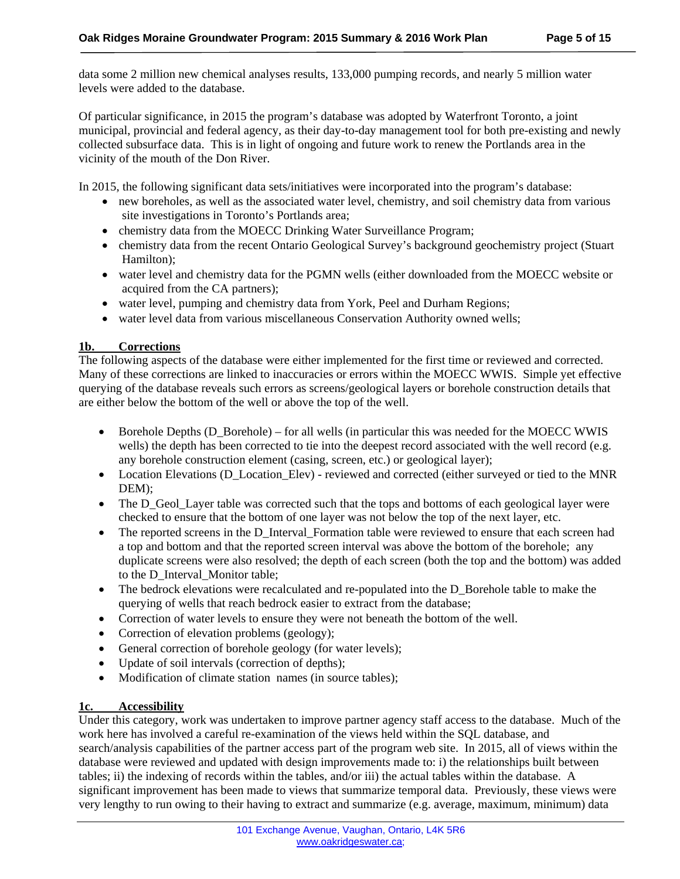data some 2 million new chemical analyses results, 133,000 pumping records, and nearly 5 million water levels were added to the database.

Of particular significance, in 2015 the program's database was adopted by Waterfront Toronto, a joint municipal, provincial and federal agency, as their day-to-day management tool for both pre-existing and newly collected subsurface data. This is in light of ongoing and future work to renew the Portlands area in the vicinity of the mouth of the Don River.

In 2015, the following significant data sets/initiatives were incorporated into the program's database:

- new boreholes, as well as the associated water level, chemistry, and soil chemistry data from various site investigations in Toronto's Portlands area;
- chemistry data from the MOECC Drinking Water Surveillance Program;
- chemistry data from the recent Ontario Geological Survey's background geochemistry project (Stuart Hamilton);
- water level and chemistry data for the PGMN wells (either downloaded from the MOECC website or acquired from the CA partners);
- water level, pumping and chemistry data from York, Peel and Durham Regions;
- water level data from various miscellaneous Conservation Authority owned wells;

#### **1b. Corrections**

The following aspects of the database were either implemented for the first time or reviewed and corrected. Many of these corrections are linked to inaccuracies or errors within the MOECC WWIS. Simple yet effective querying of the database reveals such errors as screens/geological layers or borehole construction details that are either below the bottom of the well or above the top of the well.

- Borehole Depths (D\_Borehole) for all wells (in particular this was needed for the MOECC WWIS wells) the depth has been corrected to tie into the deepest record associated with the well record (e.g. any borehole construction element (casing, screen, etc.) or geological layer);
- Location Elevations (D\_Location\_Elev) reviewed and corrected (either surveyed or tied to the MNR DEM);
- The D\_Geol\_Layer table was corrected such that the tops and bottoms of each geological layer were checked to ensure that the bottom of one layer was not below the top of the next layer, etc.
- The reported screens in the D\_Interval\_Formation table were reviewed to ensure that each screen had a top and bottom and that the reported screen interval was above the bottom of the borehole; any duplicate screens were also resolved; the depth of each screen (both the top and the bottom) was added to the D\_Interval\_Monitor table;
- The bedrock elevations were recalculated and re-populated into the D\_Borehole table to make the querying of wells that reach bedrock easier to extract from the database;
- Correction of water levels to ensure they were not beneath the bottom of the well.
- Correction of elevation problems (geology);
- General correction of borehole geology (for water levels);
- Update of soil intervals (correction of depths);
- Modification of climate station names (in source tables);

#### **1c. Accessibility**

Under this category, work was undertaken to improve partner agency staff access to the database. Much of the work here has involved a careful re-examination of the views held within the SQL database, and search/analysis capabilities of the partner access part of the program web site. In 2015, all of views within the database were reviewed and updated with design improvements made to: i) the relationships built between tables; ii) the indexing of records within the tables, and/or iii) the actual tables within the database. A significant improvement has been made to views that summarize temporal data. Previously, these views were very lengthy to run owing to their having to extract and summarize (e.g. average, maximum, minimum) data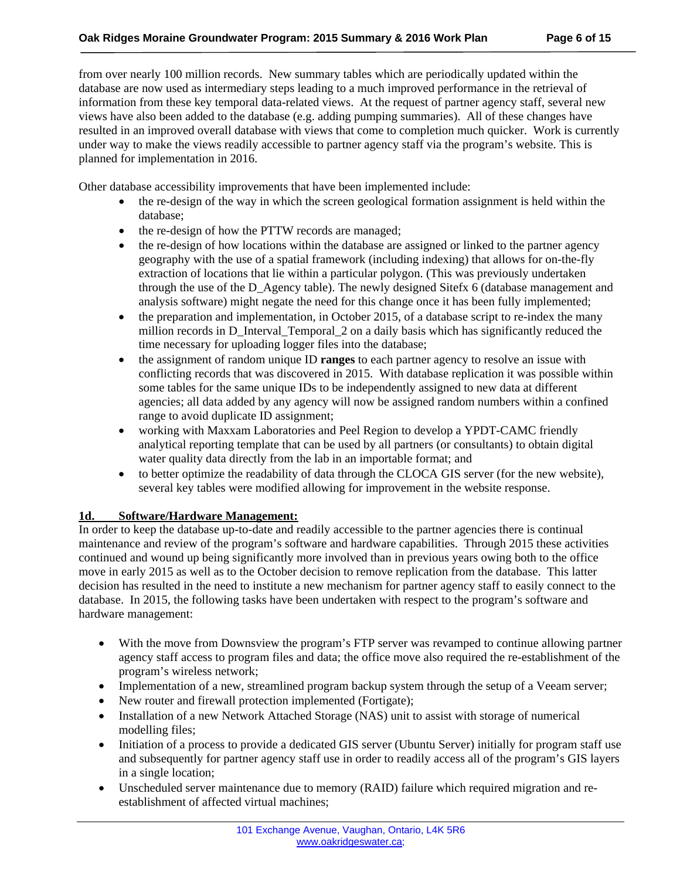from over nearly 100 million records. New summary tables which are periodically updated within the database are now used as intermediary steps leading to a much improved performance in the retrieval of information from these key temporal data-related views. At the request of partner agency staff, several new views have also been added to the database (e.g. adding pumping summaries). All of these changes have resulted in an improved overall database with views that come to completion much quicker. Work is currently under way to make the views readily accessible to partner agency staff via the program's website. This is planned for implementation in 2016.

Other database accessibility improvements that have been implemented include:

- the re-design of the way in which the screen geological formation assignment is held within the database;
- the re-design of how the PTTW records are managed;
- the re-design of how locations within the database are assigned or linked to the partner agency geography with the use of a spatial framework (including indexing) that allows for on-the-fly extraction of locations that lie within a particular polygon. (This was previously undertaken through the use of the D\_Agency table). The newly designed Sitefx 6 (database management and analysis software) might negate the need for this change once it has been fully implemented;
- $\bullet$  the preparation and implementation, in October 2015, of a database script to re-index the many million records in D\_Interval\_Temporal\_2 on a daily basis which has significantly reduced the time necessary for uploading logger files into the database;
- the assignment of random unique ID **ranges** to each partner agency to resolve an issue with conflicting records that was discovered in 2015. With database replication it was possible within some tables for the same unique IDs to be independently assigned to new data at different agencies; all data added by any agency will now be assigned random numbers within a confined range to avoid duplicate ID assignment;
- working with Maxxam Laboratories and Peel Region to develop a YPDT-CAMC friendly analytical reporting template that can be used by all partners (or consultants) to obtain digital water quality data directly from the lab in an importable format; and
- to better optimize the readability of data through the CLOCA GIS server (for the new website), several key tables were modified allowing for improvement in the website response.

#### **1d. Software/Hardware Management:**

In order to keep the database up-to-date and readily accessible to the partner agencies there is continual maintenance and review of the program's software and hardware capabilities. Through 2015 these activities continued and wound up being significantly more involved than in previous years owing both to the office move in early 2015 as well as to the October decision to remove replication from the database. This latter decision has resulted in the need to institute a new mechanism for partner agency staff to easily connect to the database. In 2015, the following tasks have been undertaken with respect to the program's software and hardware management:

- With the move from Downsview the program's FTP server was revamped to continue allowing partner agency staff access to program files and data; the office move also required the re-establishment of the program's wireless network;
- Implementation of a new, streamlined program backup system through the setup of a Veeam server;
- New router and firewall protection implemented (Fortigate);
- Installation of a new Network Attached Storage (NAS) unit to assist with storage of numerical modelling files;
- Initiation of a process to provide a dedicated GIS server (Ubuntu Server) initially for program staff use and subsequently for partner agency staff use in order to readily access all of the program's GIS layers in a single location;
- Unscheduled server maintenance due to memory (RAID) failure which required migration and reestablishment of affected virtual machines;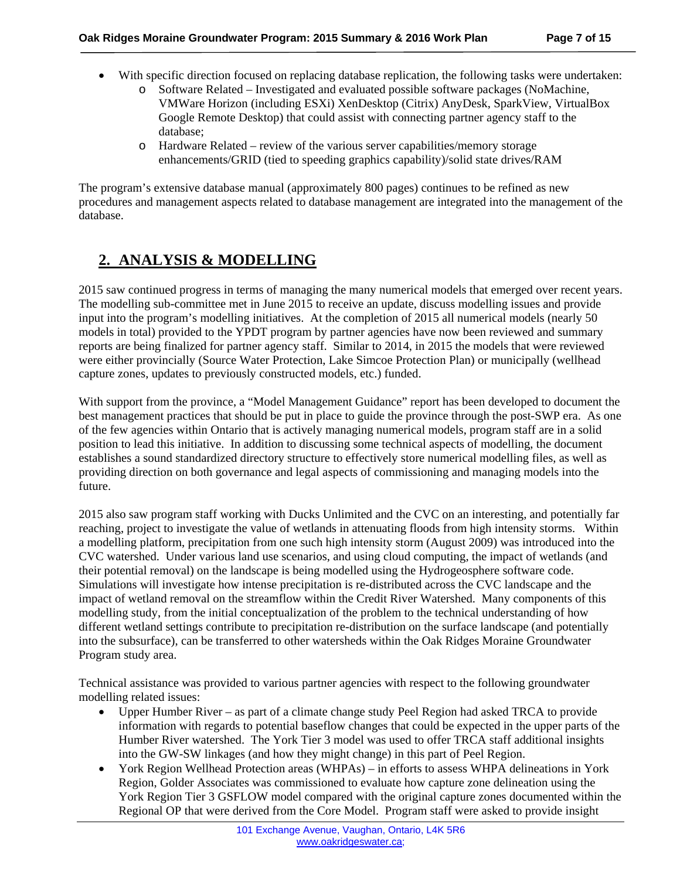- With specific direction focused on replacing database replication, the following tasks were undertaken:
	- o Software Related Investigated and evaluated possible software packages (NoMachine, VMWare Horizon (including ESXi) XenDesktop (Citrix) AnyDesk, SparkView, VirtualBox Google Remote Desktop) that could assist with connecting partner agency staff to the database;
	- o Hardware Related review of the various server capabilities/memory storage enhancements/GRID (tied to speeding graphics capability)/solid state drives/RAM

The program's extensive database manual (approximately 800 pages) continues to be refined as new procedures and management aspects related to database management are integrated into the management of the database.

## **2. ANALYSIS & MODELLING**

2015 saw continued progress in terms of managing the many numerical models that emerged over recent years. The modelling sub-committee met in June 2015 to receive an update, discuss modelling issues and provide input into the program's modelling initiatives. At the completion of 2015 all numerical models (nearly 50 models in total) provided to the YPDT program by partner agencies have now been reviewed and summary reports are being finalized for partner agency staff. Similar to 2014, in 2015 the models that were reviewed were either provincially (Source Water Protection, Lake Simcoe Protection Plan) or municipally (wellhead capture zones, updates to previously constructed models, etc.) funded.

With support from the province, a "Model Management Guidance" report has been developed to document the best management practices that should be put in place to guide the province through the post-SWP era. As one of the few agencies within Ontario that is actively managing numerical models, program staff are in a solid position to lead this initiative. In addition to discussing some technical aspects of modelling, the document establishes a sound standardized directory structure to effectively store numerical modelling files, as well as providing direction on both governance and legal aspects of commissioning and managing models into the future.

2015 also saw program staff working with Ducks Unlimited and the CVC on an interesting, and potentially far reaching, project to investigate the value of wetlands in attenuating floods from high intensity storms. Within a modelling platform, precipitation from one such high intensity storm (August 2009) was introduced into the CVC watershed. Under various land use scenarios, and using cloud computing, the impact of wetlands (and their potential removal) on the landscape is being modelled using the Hydrogeosphere software code. Simulations will investigate how intense precipitation is re-distributed across the CVC landscape and the impact of wetland removal on the streamflow within the Credit River Watershed. Many components of this modelling study, from the initial conceptualization of the problem to the technical understanding of how different wetland settings contribute to precipitation re-distribution on the surface landscape (and potentially into the subsurface), can be transferred to other watersheds within the Oak Ridges Moraine Groundwater Program study area.

Technical assistance was provided to various partner agencies with respect to the following groundwater modelling related issues:

- Upper Humber River as part of a climate change study Peel Region had asked TRCA to provide information with regards to potential baseflow changes that could be expected in the upper parts of the Humber River watershed. The York Tier 3 model was used to offer TRCA staff additional insights into the GW-SW linkages (and how they might change) in this part of Peel Region.
- York Region Wellhead Protection areas (WHPAs) in efforts to assess WHPA delineations in York Region, Golder Associates was commissioned to evaluate how capture zone delineation using the York Region Tier 3 GSFLOW model compared with the original capture zones documented within the Regional OP that were derived from the Core Model. Program staff were asked to provide insight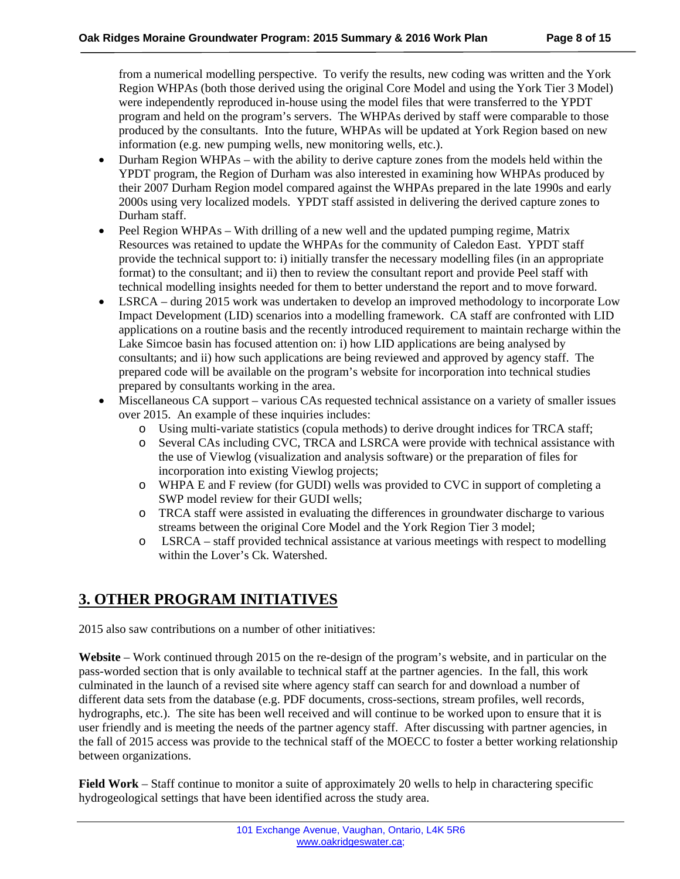from a numerical modelling perspective. To verify the results, new coding was written and the York Region WHPAs (both those derived using the original Core Model and using the York Tier 3 Model) were independently reproduced in-house using the model files that were transferred to the YPDT program and held on the program's servers. The WHPAs derived by staff were comparable to those produced by the consultants. Into the future, WHPAs will be updated at York Region based on new information (e.g. new pumping wells, new monitoring wells, etc.).

- Durham Region WHPAs with the ability to derive capture zones from the models held within the YPDT program, the Region of Durham was also interested in examining how WHPAs produced by their 2007 Durham Region model compared against the WHPAs prepared in the late 1990s and early 2000s using very localized models. YPDT staff assisted in delivering the derived capture zones to Durham staff.
- Peel Region WHPAs With drilling of a new well and the updated pumping regime, Matrix Resources was retained to update the WHPAs for the community of Caledon East. YPDT staff provide the technical support to: i) initially transfer the necessary modelling files (in an appropriate format) to the consultant; and ii) then to review the consultant report and provide Peel staff with technical modelling insights needed for them to better understand the report and to move forward.
- LSRCA during 2015 work was undertaken to develop an improved methodology to incorporate Low Impact Development (LID) scenarios into a modelling framework. CA staff are confronted with LID applications on a routine basis and the recently introduced requirement to maintain recharge within the Lake Simcoe basin has focused attention on: i) how LID applications are being analysed by consultants; and ii) how such applications are being reviewed and approved by agency staff. The prepared code will be available on the program's website for incorporation into technical studies prepared by consultants working in the area.
- Miscellaneous CA support various CAs requested technical assistance on a variety of smaller issues over 2015. An example of these inquiries includes:
	- o Using multi-variate statistics (copula methods) to derive drought indices for TRCA staff;
	- o Several CAs including CVC, TRCA and LSRCA were provide with technical assistance with the use of Viewlog (visualization and analysis software) or the preparation of files for incorporation into existing Viewlog projects;
	- o WHPA E and F review (for GUDI) wells was provided to CVC in support of completing a SWP model review for their GUDI wells;
	- o TRCA staff were assisted in evaluating the differences in groundwater discharge to various streams between the original Core Model and the York Region Tier 3 model;
	- o LSRCA staff provided technical assistance at various meetings with respect to modelling within the Lover's Ck. Watershed.

## **3. OTHER PROGRAM INITIATIVES**

2015 also saw contributions on a number of other initiatives:

Website – Work continued through 2015 on the re-design of the program's website, and in particular on the pass-worded section that is only available to technical staff at the partner agencies. In the fall, this work culminated in the launch of a revised site where agency staff can search for and download a number of different data sets from the database (e.g. PDF documents, cross-sections, stream profiles, well records, hydrographs, etc.). The site has been well received and will continue to be worked upon to ensure that it is user friendly and is meeting the needs of the partner agency staff. After discussing with partner agencies, in the fall of 2015 access was provide to the technical staff of the MOECC to foster a better working relationship between organizations.

**Field Work** – Staff continue to monitor a suite of approximately 20 wells to help in charactering specific hydrogeological settings that have been identified across the study area.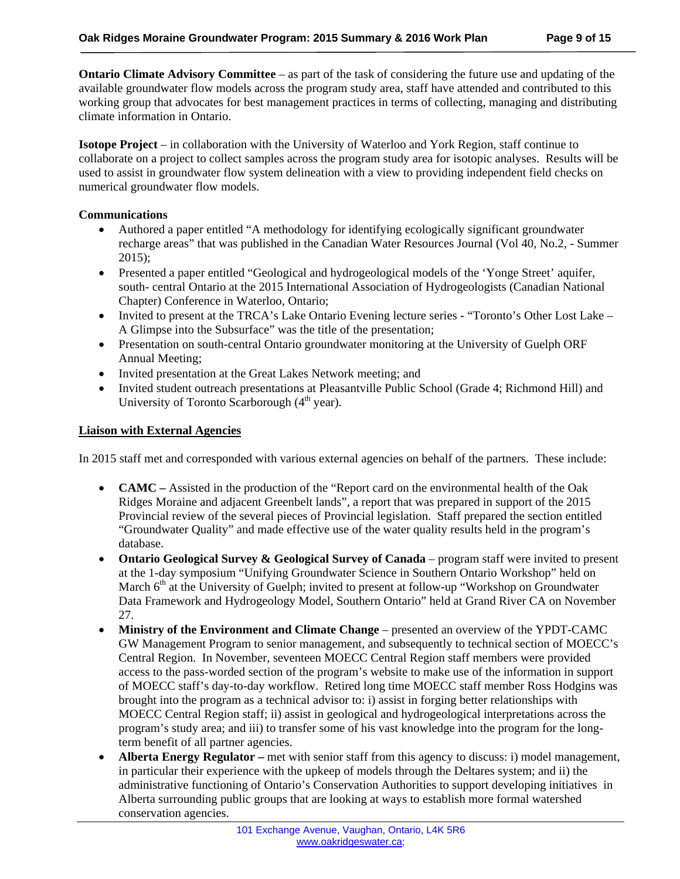**Ontario Climate Advisory Committee** – as part of the task of considering the future use and updating of the available groundwater flow models across the program study area, staff have attended and contributed to this working group that advocates for best management practices in terms of collecting, managing and distributing climate information in Ontario.

**Isotope Project** – in collaboration with the University of Waterloo and York Region, staff continue to collaborate on a project to collect samples across the program study area for isotopic analyses. Results will be used to assist in groundwater flow system delineation with a view to providing independent field checks on numerical groundwater flow models.

#### **Communications**

- Authored a paper entitled "A methodology for identifying ecologically significant groundwater recharge areas" that was published in the Canadian Water Resources Journal (Vol 40, No.2, - Summer 2015);
- Presented a paper entitled "Geological and hydrogeological models of the 'Yonge Street' aquifer, south- central Ontario at the 2015 International Association of Hydrogeologists (Canadian National Chapter) Conference in Waterloo, Ontario;
- Invited to present at the TRCA's Lake Ontario Evening lecture series "Toronto's Other Lost Lake A Glimpse into the Subsurface" was the title of the presentation;
- Presentation on south-central Ontario groundwater monitoring at the University of Guelph ORF Annual Meeting;
- Invited presentation at the Great Lakes Network meeting; and
- Invited student outreach presentations at Pleasantville Public School (Grade 4; Richmond Hill) and University of Toronto Scarborough  $(4<sup>th</sup>$  year).

#### **Liaison with External Agencies**

In 2015 staff met and corresponded with various external agencies on behalf of the partners. These include:

- **CAMC** Assisted in the production of the "Report card on the environmental health of the Oak Ridges Moraine and adjacent Greenbelt lands", a report that was prepared in support of the 2015 Provincial review of the several pieces of Provincial legislation. Staff prepared the section entitled "Groundwater Quality" and made effective use of the water quality results held in the program's database.
- **Ontario Geological Survey & Geological Survey of Canada** program staff were invited to present at the 1-day symposium "Unifying Groundwater Science in Southern Ontario Workshop" held on March  $6<sup>th</sup>$  at the University of Guelph; invited to present at follow-up "Workshop on Groundwater" Data Framework and Hydrogeology Model, Southern Ontario" held at Grand River CA on November 27.
- **Ministry of the Environment and Climate Change** presented an overview of the YPDT-CAMC GW Management Program to senior management, and subsequently to technical section of MOECC's Central Region. In November, seventeen MOECC Central Region staff members were provided access to the pass-worded section of the program's website to make use of the information in support of MOECC staff's day-to-day workflow. Retired long time MOECC staff member Ross Hodgins was brought into the program as a technical advisor to: i) assist in forging better relationships with MOECC Central Region staff; ii) assist in geological and hydrogeological interpretations across the program's study area; and iii) to transfer some of his vast knowledge into the program for the longterm benefit of all partner agencies.
- **Alberta Energy Regulator** met with senior staff from this agency to discuss: i) model management, in particular their experience with the upkeep of models through the Deltares system; and ii) the administrative functioning of Ontario's Conservation Authorities to support developing initiatives in Alberta surrounding public groups that are looking at ways to establish more formal watershed conservation agencies.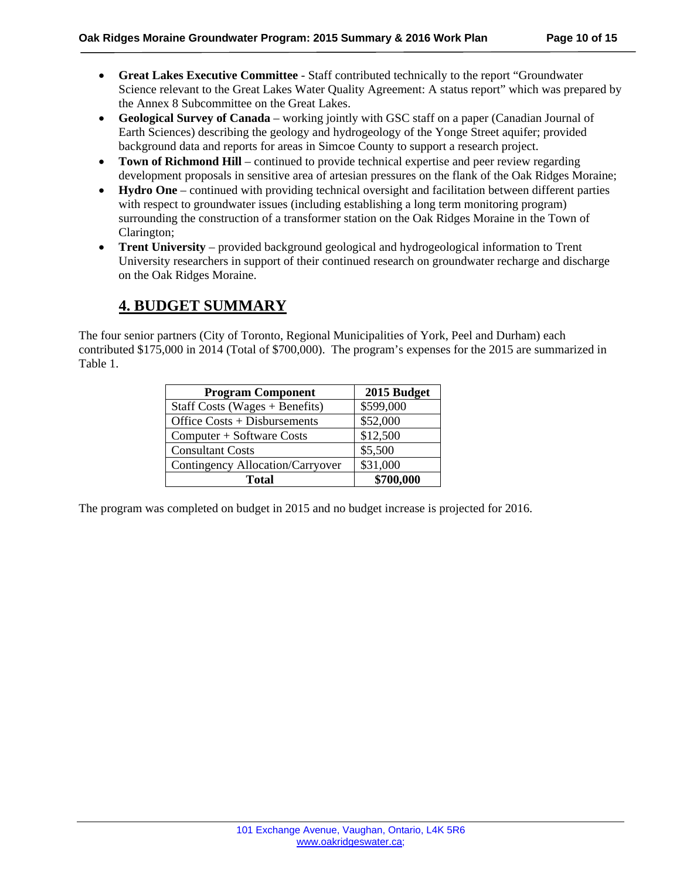- **Great Lakes Executive Committee**  Staff contributed technically to the report "Groundwater Science relevant to the Great Lakes Water Quality Agreement: A status report" which was prepared by the Annex 8 Subcommittee on the Great Lakes.
- **Geological Survey of Canada** working jointly with GSC staff on a paper (Canadian Journal of Earth Sciences) describing the geology and hydrogeology of the Yonge Street aquifer; provided background data and reports for areas in Simcoe County to support a research project.
- **Town of Richmond Hill** continued to provide technical expertise and peer review regarding development proposals in sensitive area of artesian pressures on the flank of the Oak Ridges Moraine;
- **Hydro One** continued with providing technical oversight and facilitation between different parties with respect to groundwater issues (including establishing a long term monitoring program) surrounding the construction of a transformer station on the Oak Ridges Moraine in the Town of Clarington;
- **Trent University**  provided background geological and hydrogeological information to Trent University researchers in support of their continued research on groundwater recharge and discharge on the Oak Ridges Moraine.

## **4. BUDGET SUMMARY**

The four senior partners (City of Toronto, Regional Municipalities of York, Peel and Durham) each contributed \$175,000 in 2014 (Total of \$700,000). The program's expenses for the 2015 are summarized in Table 1.

| <b>Program Component</b>         | 2015 Budget |
|----------------------------------|-------------|
| Staff Costs (Wages $+$ Benefits) | \$599,000   |
| Office Costs + Disbursements     | \$52,000    |
| Computer + Software Costs        | \$12,500    |
| <b>Consultant Costs</b>          | \$5,500     |
| Contingency Allocation/Carryover | \$31,000    |
| <b>Total</b>                     | \$700,000   |

The program was completed on budget in 2015 and no budget increase is projected for 2016.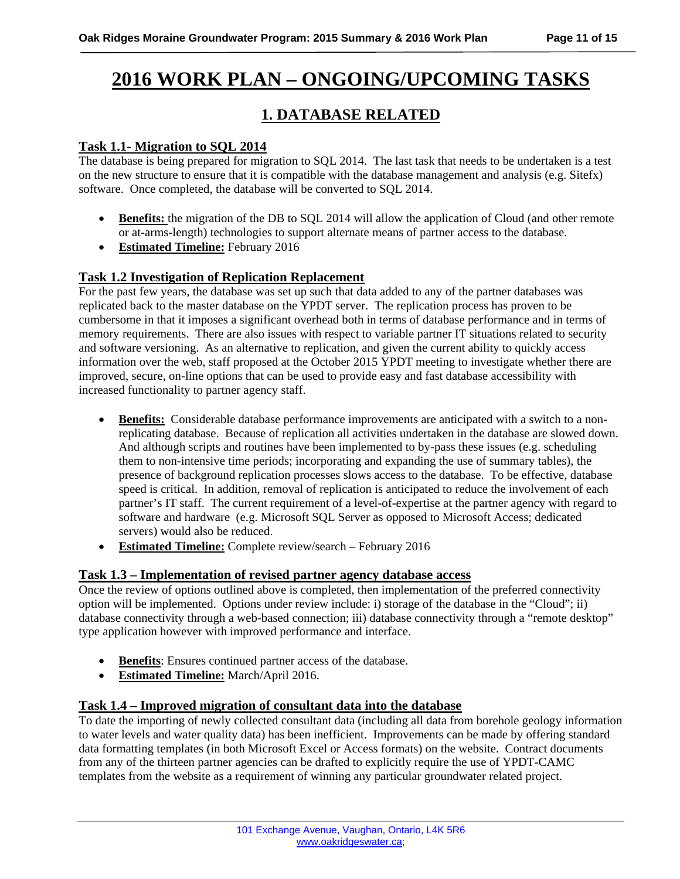# **2016 WORK PLAN – ONGOING/UPCOMING TASKS**

## **1. DATABASE RELATED**

#### **Task 1.1- Migration to SQL 2014**

The database is being prepared for migration to SQL 2014. The last task that needs to be undertaken is a test on the new structure to ensure that it is compatible with the database management and analysis (e.g. Sitefx) software. Once completed, the database will be converted to SQL 2014.

- **Benefits:** the migration of the DB to SQL 2014 will allow the application of Cloud (and other remote or at-arms-length) technologies to support alternate means of partner access to the database.
- **• Estimated Timeline:** February 2016

#### **Task 1.2 Investigation of Replication Replacement**

For the past few years, the database was set up such that data added to any of the partner databases was replicated back to the master database on the YPDT server. The replication process has proven to be cumbersome in that it imposes a significant overhead both in terms of database performance and in terms of memory requirements. There are also issues with respect to variable partner IT situations related to security and software versioning. As an alternative to replication, and given the current ability to quickly access information over the web, staff proposed at the October 2015 YPDT meeting to investigate whether there are improved, secure, on-line options that can be used to provide easy and fast database accessibility with increased functionality to partner agency staff.

- **Benefits:** Considerable database performance improvements are anticipated with a switch to a nonreplicating database. Because of replication all activities undertaken in the database are slowed down. And although scripts and routines have been implemented to by-pass these issues (e.g. scheduling them to non-intensive time periods; incorporating and expanding the use of summary tables), the presence of background replication processes slows access to the database. To be effective, database speed is critical. In addition, removal of replication is anticipated to reduce the involvement of each partner's IT staff. The current requirement of a level-of-expertise at the partner agency with regard to software and hardware (e.g. Microsoft SQL Server as opposed to Microsoft Access; dedicated servers) would also be reduced.
- **Estimated Timeline:** Complete review/search February 2016

#### **Task 1.3 – Implementation of revised partner agency database access**

Once the review of options outlined above is completed, then implementation of the preferred connectivity option will be implemented. Options under review include: i) storage of the database in the "Cloud"; ii) database connectivity through a web-based connection; iii) database connectivity through a "remote desktop" type application however with improved performance and interface.

- **Benefits**: Ensures continued partner access of the database.
- **Estimated Timeline:** March/April 2016.

#### **Task 1.4 – Improved migration of consultant data into the database**

To date the importing of newly collected consultant data (including all data from borehole geology information to water levels and water quality data) has been inefficient. Improvements can be made by offering standard data formatting templates (in both Microsoft Excel or Access formats) on the website. Contract documents from any of the thirteen partner agencies can be drafted to explicitly require the use of YPDT-CAMC templates from the website as a requirement of winning any particular groundwater related project.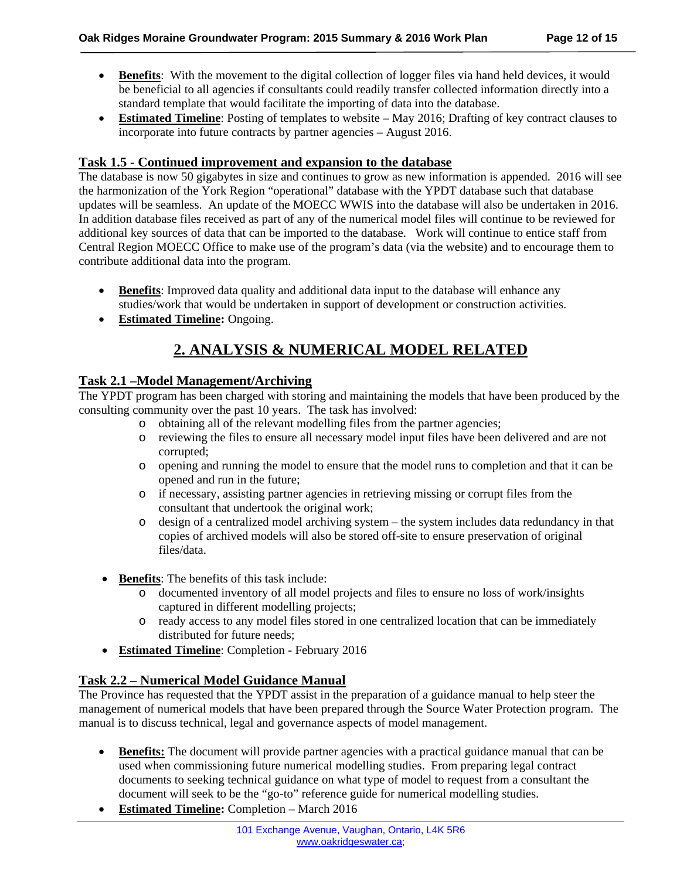- **Benefits:** With the movement to the digital collection of logger files via hand held devices, it would be beneficial to all agencies if consultants could readily transfer collected information directly into a standard template that would facilitate the importing of data into the database.
- **Estimated Timeline**: Posting of templates to website May 2016; Drafting of key contract clauses to incorporate into future contracts by partner agencies – August 2016.

#### **Task 1.5 - Continued improvement and expansion to the database**

The database is now 50 gigabytes in size and continues to grow as new information is appended. 2016 will see the harmonization of the York Region "operational" database with the YPDT database such that database updates will be seamless. An update of the MOECC WWIS into the database will also be undertaken in 2016. In addition database files received as part of any of the numerical model files will continue to be reviewed for additional key sources of data that can be imported to the database. Work will continue to entice staff from Central Region MOECC Office to make use of the program's data (via the website) and to encourage them to contribute additional data into the program.

- **Benefits**: Improved data quality and additional data input to the database will enhance any studies/work that would be undertaken in support of development or construction activities.
- **Estimated Timeline:** Ongoing.

## **2. ANALYSIS & NUMERICAL MODEL RELATED**

#### **Task 2.1 –Model Management/Archiving**

The YPDT program has been charged with storing and maintaining the models that have been produced by the consulting community over the past 10 years. The task has involved:

- o obtaining all of the relevant modelling files from the partner agencies;
- o reviewing the files to ensure all necessary model input files have been delivered and are not corrupted;
- o opening and running the model to ensure that the model runs to completion and that it can be opened and run in the future;
- o if necessary, assisting partner agencies in retrieving missing or corrupt files from the consultant that undertook the original work;
- o design of a centralized model archiving system the system includes data redundancy in that copies of archived models will also be stored off-site to ensure preservation of original files/data.
- **Benefits**: The benefits of this task include:
	- o documented inventory of all model projects and files to ensure no loss of work/insights captured in different modelling projects;
	- o ready access to any model files stored in one centralized location that can be immediately distributed for future needs;
- **Estimated Timeline**: Completion February 2016

#### **Task 2.2 – Numerical Model Guidance Manual**

The Province has requested that the YPDT assist in the preparation of a guidance manual to help steer the management of numerical models that have been prepared through the Source Water Protection program. The manual is to discuss technical, legal and governance aspects of model management.

- **Benefits:** The document will provide partner agencies with a practical guidance manual that can be used when commissioning future numerical modelling studies. From preparing legal contract documents to seeking technical guidance on what type of model to request from a consultant the document will seek to be the "go-to" reference guide for numerical modelling studies.
- **Estimated Timeline:** Completion March 2016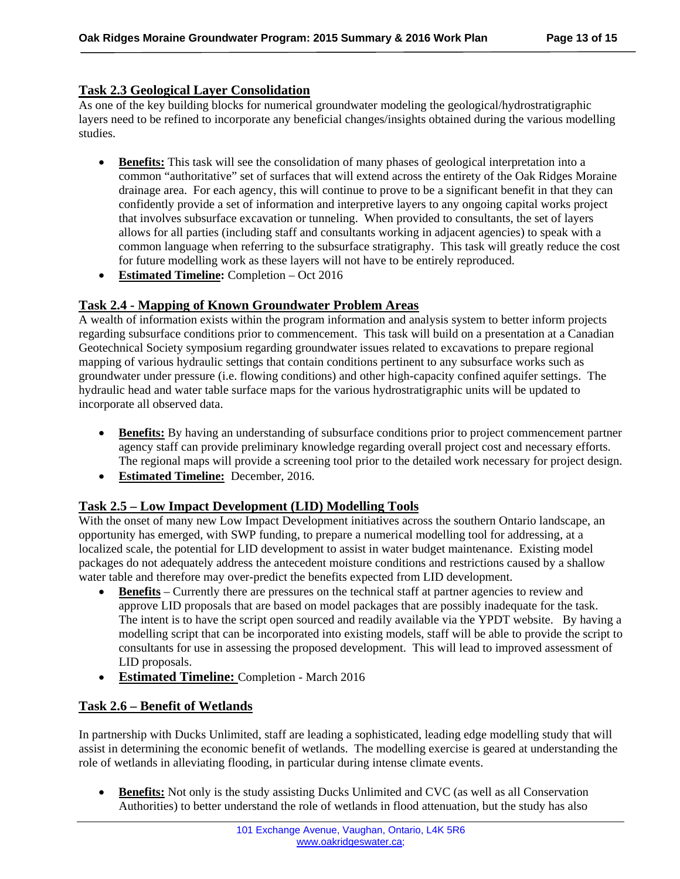#### **Task 2.3 Geological Layer Consolidation**

As one of the key building blocks for numerical groundwater modeling the geological/hydrostratigraphic layers need to be refined to incorporate any beneficial changes/insights obtained during the various modelling studies.

- **Benefits:** This task will see the consolidation of many phases of geological interpretation into a common "authoritative" set of surfaces that will extend across the entirety of the Oak Ridges Moraine drainage area. For each agency, this will continue to prove to be a significant benefit in that they can confidently provide a set of information and interpretive layers to any ongoing capital works project that involves subsurface excavation or tunneling. When provided to consultants, the set of layers allows for all parties (including staff and consultants working in adjacent agencies) to speak with a common language when referring to the subsurface stratigraphy. This task will greatly reduce the cost for future modelling work as these layers will not have to be entirely reproduced.
- **Estimated Timeline:** Completion Oct 2016

#### **Task 2.4 - Mapping of Known Groundwater Problem Areas**

A wealth of information exists within the program information and analysis system to better inform projects regarding subsurface conditions prior to commencement. This task will build on a presentation at a Canadian Geotechnical Society symposium regarding groundwater issues related to excavations to prepare regional mapping of various hydraulic settings that contain conditions pertinent to any subsurface works such as groundwater under pressure (i.e. flowing conditions) and other high-capacity confined aquifer settings. The hydraulic head and water table surface maps for the various hydrostratigraphic units will be updated to incorporate all observed data.

- **Benefits:** By having an understanding of subsurface conditions prior to project commencement partner agency staff can provide preliminary knowledge regarding overall project cost and necessary efforts. The regional maps will provide a screening tool prior to the detailed work necessary for project design.
- **Estimated Timeline:** December, 2016.

#### **Task 2.5 – Low Impact Development (LID) Modelling Tools**

With the onset of many new Low Impact Development initiatives across the southern Ontario landscape, an opportunity has emerged, with SWP funding, to prepare a numerical modelling tool for addressing, at a localized scale, the potential for LID development to assist in water budget maintenance. Existing model packages do not adequately address the antecedent moisture conditions and restrictions caused by a shallow water table and therefore may over-predict the benefits expected from LID development.

- **Benefits** Currently there are pressures on the technical staff at partner agencies to review and approve LID proposals that are based on model packages that are possibly inadequate for the task. The intent is to have the script open sourced and readily available via the YPDT website. By having a modelling script that can be incorporated into existing models, staff will be able to provide the script to consultants for use in assessing the proposed development. This will lead to improved assessment of LID proposals.
- **Estimated Timeline:** Completion March 2016

#### **Task 2.6 – Benefit of Wetlands**

In partnership with Ducks Unlimited, staff are leading a sophisticated, leading edge modelling study that will assist in determining the economic benefit of wetlands. The modelling exercise is geared at understanding the role of wetlands in alleviating flooding, in particular during intense climate events.

• **Benefits:** Not only is the study assisting Ducks Unlimited and CVC (as well as all Conservation Authorities) to better understand the role of wetlands in flood attenuation, but the study has also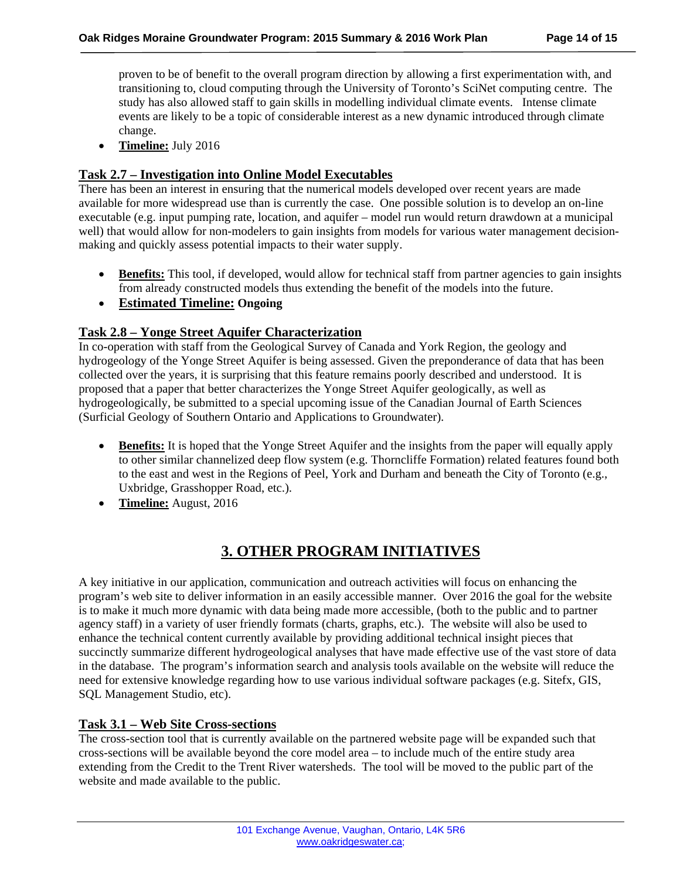proven to be of benefit to the overall program direction by allowing a first experimentation with, and transitioning to, cloud computing through the University of Toronto's SciNet computing centre. The study has also allowed staff to gain skills in modelling individual climate events. Intense climate events are likely to be a topic of considerable interest as a new dynamic introduced through climate change.

**Timeline:** July 2016

#### **Task 2.7 – Investigation into Online Model Executables**

There has been an interest in ensuring that the numerical models developed over recent years are made available for more widespread use than is currently the case. One possible solution is to develop an on-line executable (e.g. input pumping rate, location, and aquifer – model run would return drawdown at a municipal well) that would allow for non-modelers to gain insights from models for various water management decisionmaking and quickly assess potential impacts to their water supply.

- Benefits: This tool, if developed, would allow for technical staff from partner agencies to gain insights from already constructed models thus extending the benefit of the models into the future.
- **Estimated Timeline: Ongoing**

#### **Task 2.8 – Yonge Street Aquifer Characterization**

In co-operation with staff from the Geological Survey of Canada and York Region, the geology and hydrogeology of the Yonge Street Aquifer is being assessed. Given the preponderance of data that has been collected over the years, it is surprising that this feature remains poorly described and understood. It is proposed that a paper that better characterizes the Yonge Street Aquifer geologically, as well as hydrogeologically, be submitted to a special upcoming issue of the Canadian Journal of Earth Sciences (Surficial Geology of Southern Ontario and Applications to Groundwater).

- **Benefits:** It is hoped that the Yonge Street Aquifer and the insights from the paper will equally apply to other similar channelized deep flow system (e.g. Thorncliffe Formation) related features found both to the east and west in the Regions of Peel, York and Durham and beneath the City of Toronto (e.g., Uxbridge, Grasshopper Road, etc.).
- **Timeline:** August, 2016

## **3. OTHER PROGRAM INITIATIVES**

A key initiative in our application, communication and outreach activities will focus on enhancing the program's web site to deliver information in an easily accessible manner. Over 2016 the goal for the website is to make it much more dynamic with data being made more accessible, (both to the public and to partner agency staff) in a variety of user friendly formats (charts, graphs, etc.). The website will also be used to enhance the technical content currently available by providing additional technical insight pieces that succinctly summarize different hydrogeological analyses that have made effective use of the vast store of data in the database. The program's information search and analysis tools available on the website will reduce the need for extensive knowledge regarding how to use various individual software packages (e.g. Sitefx, GIS, SQL Management Studio, etc).

#### **Task 3.1 – Web Site Cross-sections**

The cross-section tool that is currently available on the partnered website page will be expanded such that cross-sections will be available beyond the core model area – to include much of the entire study area extending from the Credit to the Trent River watersheds. The tool will be moved to the public part of the website and made available to the public.